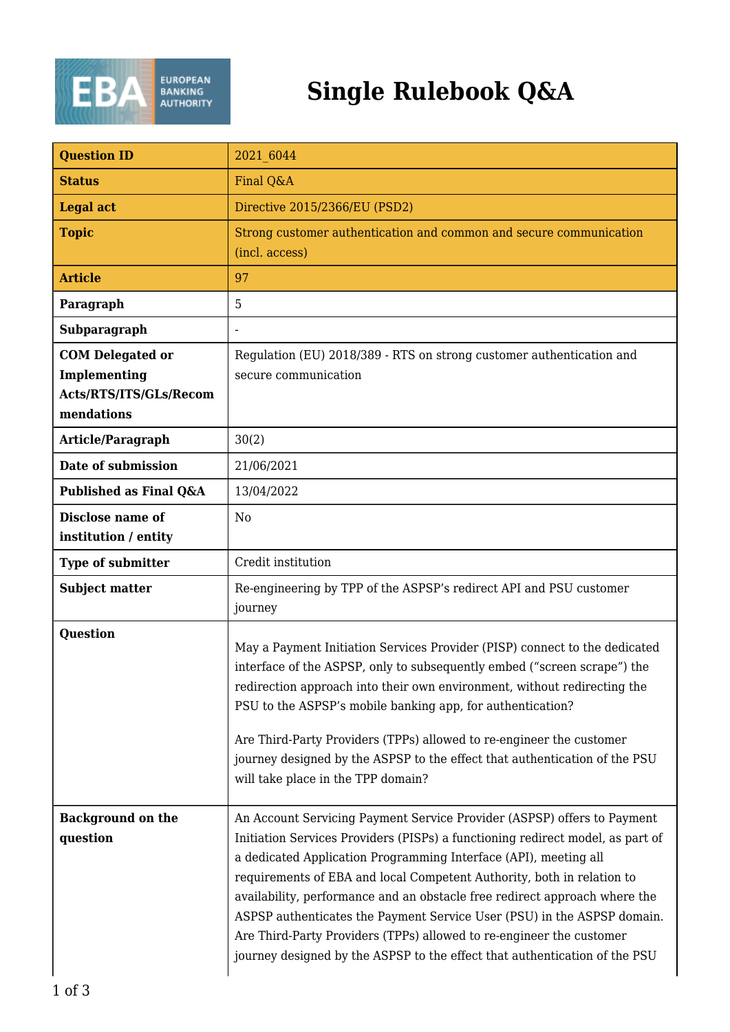

## **Single Rulebook Q&A**

| <b>Question ID</b>                                                              | 2021 6044                                                                                                                                                                                                                                                                                                                                                                                                                                                                                                                                                                                                              |
|---------------------------------------------------------------------------------|------------------------------------------------------------------------------------------------------------------------------------------------------------------------------------------------------------------------------------------------------------------------------------------------------------------------------------------------------------------------------------------------------------------------------------------------------------------------------------------------------------------------------------------------------------------------------------------------------------------------|
| <b>Status</b>                                                                   | Final Q&A                                                                                                                                                                                                                                                                                                                                                                                                                                                                                                                                                                                                              |
| <b>Legal act</b>                                                                | Directive 2015/2366/EU (PSD2)                                                                                                                                                                                                                                                                                                                                                                                                                                                                                                                                                                                          |
| <b>Topic</b>                                                                    | Strong customer authentication and common and secure communication<br>(incl. access)                                                                                                                                                                                                                                                                                                                                                                                                                                                                                                                                   |
| <b>Article</b>                                                                  | 97                                                                                                                                                                                                                                                                                                                                                                                                                                                                                                                                                                                                                     |
| Paragraph                                                                       | 5                                                                                                                                                                                                                                                                                                                                                                                                                                                                                                                                                                                                                      |
| Subparagraph                                                                    |                                                                                                                                                                                                                                                                                                                                                                                                                                                                                                                                                                                                                        |
| <b>COM Delegated or</b><br>Implementing<br>Acts/RTS/ITS/GLs/Recom<br>mendations | Regulation (EU) 2018/389 - RTS on strong customer authentication and<br>secure communication                                                                                                                                                                                                                                                                                                                                                                                                                                                                                                                           |
| Article/Paragraph                                                               | 30(2)                                                                                                                                                                                                                                                                                                                                                                                                                                                                                                                                                                                                                  |
| Date of submission                                                              | 21/06/2021                                                                                                                                                                                                                                                                                                                                                                                                                                                                                                                                                                                                             |
| Published as Final Q&A                                                          | 13/04/2022                                                                                                                                                                                                                                                                                                                                                                                                                                                                                                                                                                                                             |
| <b>Disclose name of</b><br>institution / entity                                 | N <sub>0</sub>                                                                                                                                                                                                                                                                                                                                                                                                                                                                                                                                                                                                         |
| <b>Type of submitter</b>                                                        | Credit institution                                                                                                                                                                                                                                                                                                                                                                                                                                                                                                                                                                                                     |
| <b>Subject matter</b>                                                           | Re-engineering by TPP of the ASPSP's redirect API and PSU customer<br>journey                                                                                                                                                                                                                                                                                                                                                                                                                                                                                                                                          |
| <b>Question</b>                                                                 | May a Payment Initiation Services Provider (PISP) connect to the dedicated<br>interface of the ASPSP, only to subsequently embed ("screen scrape") the<br>redirection approach into their own environment, without redirecting the<br>PSU to the ASPSP's mobile banking app, for authentication?<br>Are Third-Party Providers (TPPs) allowed to re-engineer the customer<br>journey designed by the ASPSP to the effect that authentication of the PSU<br>will take place in the TPP domain?                                                                                                                           |
| <b>Background on the</b><br>question                                            | An Account Servicing Payment Service Provider (ASPSP) offers to Payment<br>Initiation Services Providers (PISPs) a functioning redirect model, as part of<br>a dedicated Application Programming Interface (API), meeting all<br>requirements of EBA and local Competent Authority, both in relation to<br>availability, performance and an obstacle free redirect approach where the<br>ASPSP authenticates the Payment Service User (PSU) in the ASPSP domain.<br>Are Third-Party Providers (TPPs) allowed to re-engineer the customer<br>journey designed by the ASPSP to the effect that authentication of the PSU |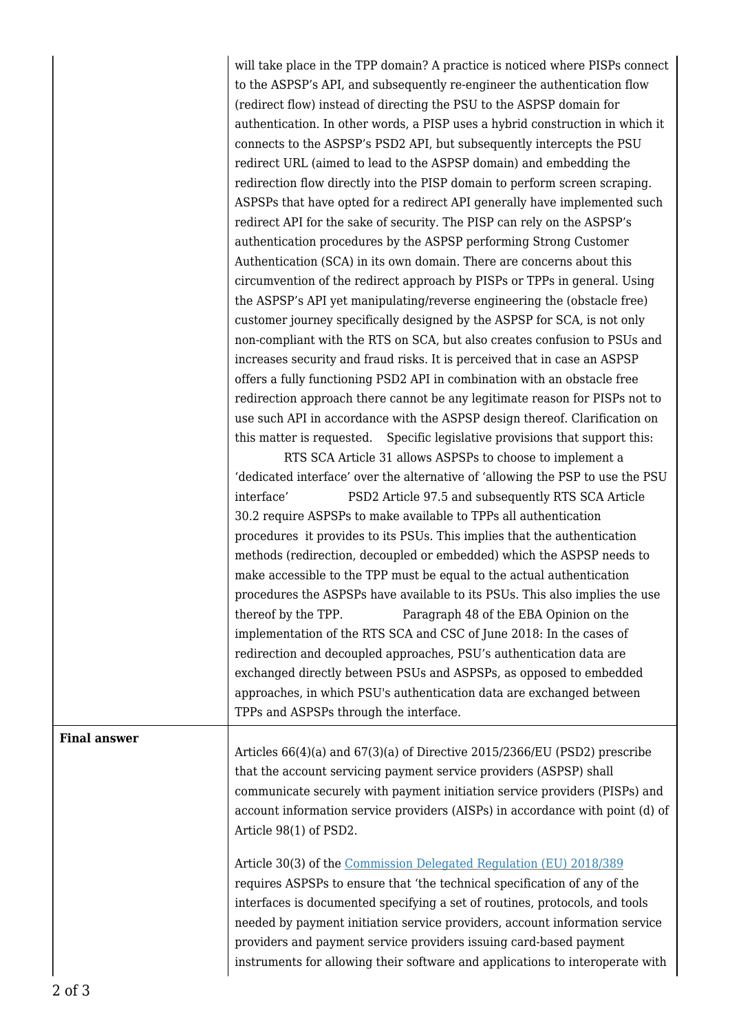will take place in the TPP domain? A practice is noticed where PISPs connect to the ASPSP's API, and subsequently re-engineer the authentication flow (redirect flow) instead of directing the PSU to the ASPSP domain for authentication. In other words, a PISP uses a hybrid construction in which it connects to the ASPSP's PSD2 API, but subsequently intercepts the PSU redirect URL (aimed to lead to the ASPSP domain) and embedding the redirection flow directly into the PISP domain to perform screen scraping. ASPSPs that have opted for a redirect API generally have implemented such redirect API for the sake of security. The PISP can rely on the ASPSP's authentication procedures by the ASPSP performing Strong Customer Authentication (SCA) in its own domain. There are concerns about this circumvention of the redirect approach by PISPs or TPPs in general. Using the ASPSP's API yet manipulating/reverse engineering the (obstacle free) customer journey specifically designed by the ASPSP for SCA, is not only non-compliant with the RTS on SCA, but also creates confusion to PSUs and increases security and fraud risks. It is perceived that in case an ASPSP offers a fully functioning PSD2 API in combination with an obstacle free redirection approach there cannot be any legitimate reason for PISPs not to use such API in accordance with the ASPSP design thereof. Clarification on this matter is requested. Specific legislative provisions that support this:

 RTS SCA Article 31 allows ASPSPs to choose to implement a 'dedicated interface' over the alternative of 'allowing the PSP to use the PSU interface' PSD2 Article 97.5 and subsequently RTS SCA Article 30.2 require ASPSPs to make available to TPPs all authentication procedures it provides to its PSUs. This implies that the authentication methods (redirection, decoupled or embedded) which the ASPSP needs to make accessible to the TPP must be equal to the actual authentication procedures the ASPSPs have available to its PSUs. This also implies the use thereof by the TPP. Paragraph 48 of the EBA Opinion on the implementation of the RTS SCA and CSC of June 2018: In the cases of redirection and decoupled approaches, PSU's authentication data are exchanged directly between PSUs and ASPSPs, as opposed to embedded approaches, in which PSU's authentication data are exchanged between TPPs and ASPSPs through the interface.

**Final answer**

Articles 66(4)(a) and 67(3)(a) of Directive 2015/2366/EU (PSD2) prescribe that the account servicing payment service providers (ASPSP) shall communicate securely with payment initiation service providers (PISPs) and account information service providers (AISPs) in accordance with point (d) of Article 98(1) of PSD2.

Article 30(3) of the [Commission Delegated Regulation \(EU\) 2018/389](https://eba.europa.eu/regulation-and-policy/payment-services-and-electronic-money/regulatory-technical-standards-on-strong-customer-authentication-and-secure-communication-under-psd2) requires ASPSPs to ensure that 'the technical specification of any of the interfaces is documented specifying a set of routines, protocols, and tools needed by payment initiation service providers, account information service providers and payment service providers issuing card-based payment instruments for allowing their software and applications to interoperate with